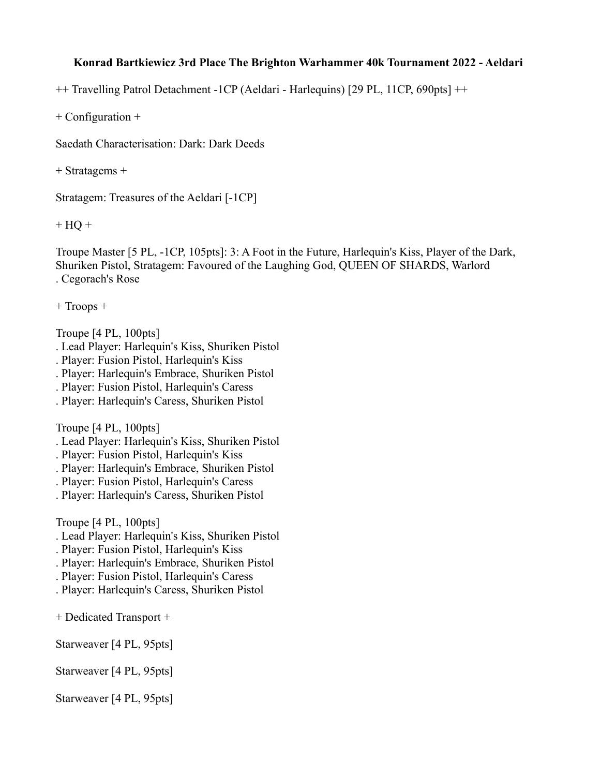## **Konrad Bartkiewicz 3rd Place The Brighton Warhammer 40k Tournament 2022 - Aeldari**

++ Travelling Patrol Detachment -1CP (Aeldari - Harlequins) [29 PL, 11CP, 690pts] ++

+ Configuration +

Saedath Characterisation: Dark: Dark Deeds

+ Stratagems +

Stratagem: Treasures of the Aeldari [-1CP]

 $+ HO +$ 

Troupe Master [5 PL, -1CP, 105pts]: 3: A Foot in the Future, Harlequin's Kiss, Player of the Dark, Shuriken Pistol, Stratagem: Favoured of the Laughing God, QUEEN OF SHARDS, Warlord . Cegorach's Rose

+ Troops +

Troupe [4 PL, 100pts]

- . Lead Player: Harlequin's Kiss, Shuriken Pistol
- . Player: Fusion Pistol, Harlequin's Kiss
- . Player: Harlequin's Embrace, Shuriken Pistol
- . Player: Fusion Pistol, Harlequin's Caress
- . Player: Harlequin's Caress, Shuriken Pistol

Troupe [4 PL, 100pts]

- . Lead Player: Harlequin's Kiss, Shuriken Pistol
- . Player: Fusion Pistol, Harlequin's Kiss
- . Player: Harlequin's Embrace, Shuriken Pistol
- . Player: Fusion Pistol, Harlequin's Caress
- . Player: Harlequin's Caress, Shuriken Pistol

Troupe [4 PL, 100pts]

- . Lead Player: Harlequin's Kiss, Shuriken Pistol
- . Player: Fusion Pistol, Harlequin's Kiss
- . Player: Harlequin's Embrace, Shuriken Pistol
- . Player: Fusion Pistol, Harlequin's Caress
- . Player: Harlequin's Caress, Shuriken Pistol

+ Dedicated Transport +

Starweaver [4 PL, 95pts]

Starweaver [4 PL, 95pts]

Starweaver [4 PL, 95pts]